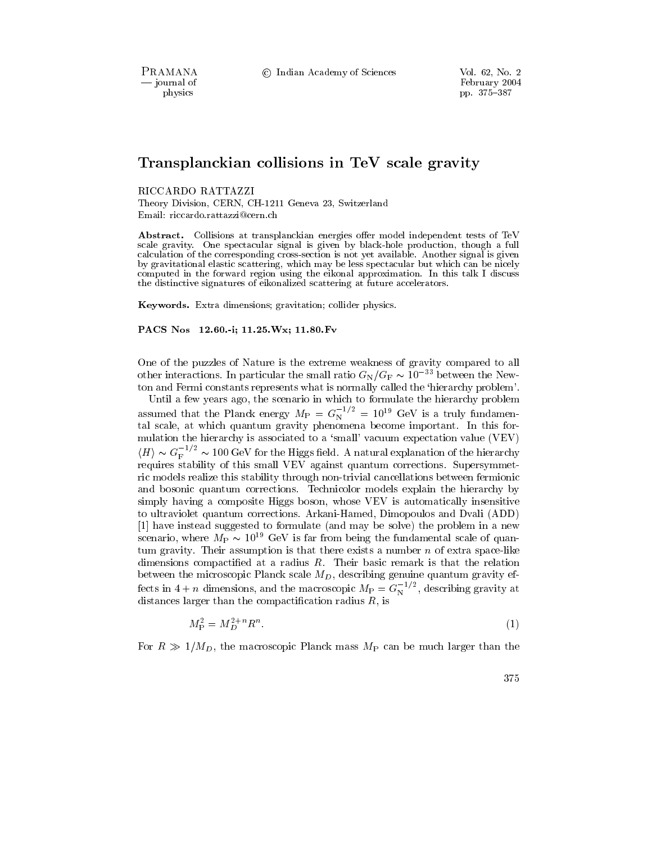PRAMANA - journal of physics

C Indian Academy of Sciences

# Transplanckian collisions in TeV scale gravity

# RICCARDO RATTAZZI

Theory Division, CERN, CH-1211 Geneva 23, Switzerland Email: riccardo.rattazzi@cern.ch

**Abstract.** Collisions at transplanckian energies offer model independent tests of TeV scale gravity. One spectacular signal is given by black-hole production, though a full calculation of the corresponding cross-section is not yet available. Another signal is given by gravitational elastic scattering, which may be less spectacular but which can be nicely computed in the forward region using the eikonal approximation. In this talk I discuss the distinctive signatures of eikonalized scattering at future accelerators.

Keywords. Extra dimensions; gravitation; collider physics.

PACS Nos 12.60.-i; 11.25. Wx; 11.80. Fv

One of the puzzles of Nature is the extreme weakness of gravity compared to all other interactions. In particular the small ratio  $G_N/G_F \sim 10^{-33}$  between the Newton and Fermi constants represents what is normally called the 'hierarchy problem'.

Until a few years ago, the scenario in which to formulate the hierarchy problem<br>assumed that the Planck energy  $M_P = G_N^{-1/2} = 10^{19}$  GeV is a truly fundamental scale, at which quantum gravity phenomena become important. In this formulation the hierarchy is associated to a 'small' vacuum expectation value (VEV)  $\langle H \rangle \sim G_{\rm F}^{-1/2} \sim 100~{\rm GeV}$  for the Higgs field. A natural explanation of the hierarchy requires stability of this small VEV against quantum corrections. Supersymmetric models realize this stability through non-trivial cancellations between fermionic and bosonic quantum corrections. Technicolor models explain the hierarchy by simply having a composite Higgs boson, whose VEV is automatically insensitive to ultraviolet quantum corrections. Arkani-Hamed, Dimopoulos and Dvali (ADD) [1] have instead suggested to formulate (and may be solve) the problem in a new scenario, where  $M_P \sim 10^{19}$  GeV is far from being the fundamental scale of quantum gravity. Their assumption is that there exists a number  $n$  of extra space-like dimensions compactified at a radius  $R$ . Their basic remark is that the relation between the microscopic Planck scale  $M_D$ , describing genuine quantum gravity effects in  $4 + n$  dimensions, and the macroscopic  $M_P = G_N^{-1/2}$ , describing gravity at distances larger than the compactification radius R, is

$$
M_P^2 = M_D^{2+n} R^n. \tag{1}
$$

For  $R \gg 1/M_D$ , the macroscopic Planck mass  $M_P$  can be much larger than the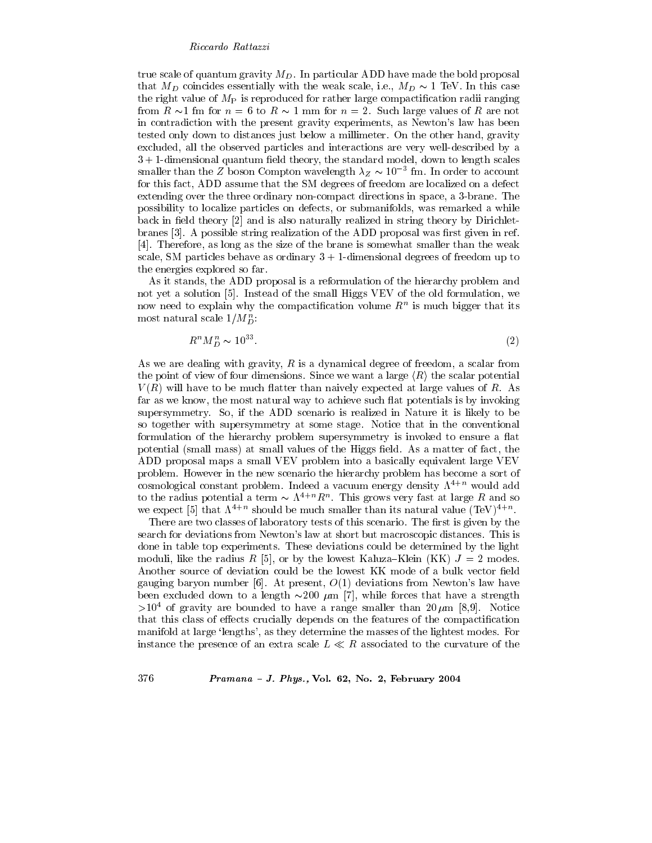true scale of quantum gravity  $M_D$ . In particular ADD have made the bold proposal that  $M_D$  coincides essentially with the weak scale, i.e.,  $M_D \sim 1$  TeV. In this case the right value of  $M<sub>P</sub>$  is reproduced for rather large compactification radii ranging from  $R \sim 1$  fm for  $n = 6$  to  $R \sim 1$  mm for  $n = 2$ . Such large values of R are not in contradiction with the present gravity experiments, as Newton's law has been tested only down to distances just below a millimeter. On the other hand, gravity excluded, all the observed particles and interactions are very well-described by a  $3+1$ -dimensional quantum field theory, the standard model, down to length scales smaller than the Z boson Compton wavelength  $\lambda_Z \sim 10^{-3}$  fm. In order to account for this fact, ADD assume that the SM degrees of freedom are localized on a defect extending over the three ordinary non-compact directions in space, a 3-brane. The possibility to localize particles on defects, or submanifolds, was remarked a while back in field theory [2] and is also naturally realized in string theory by Dirichletbranes [3]. A possible string realization of the ADD proposal was first given in ref. [4]. Therefore, as long as the size of the brane is somewhat smaller than the weak scale, SM particles behave as ordinary  $3 + 1$ -dimensional degrees of freedom up to the energies explored so far.

As it stands, the ADD proposal is a reformulation of the hierarchy problem and not yet a solution [5]. Instead of the small Higgs VEV of the old formulation, we now need to explain why the compactification volume  $R<sup>n</sup>$  is much bigger that its most natural scale  $1/M_D^n$ .

$$
R^n M_D^n \sim 10^{33}.\tag{2}
$$

As we are dealing with gravity,  $R$  is a dynamical degree of freedom, a scalar from the point of view of four dimensions. Since we want a large  $\langle R \rangle$  the scalar potential  $V(R)$  will have to be much flatter than naively expected at large values of R. As far as we know, the most natural way to achieve such flat potentials is by invoking supersymmetry. So, if the ADD scenario is realized in Nature it is likely to be so together with supersymmetry at some stage. Notice that in the conventional formulation of the hierarchy problem supersymmetry is invoked to ensure a flat potential (small mass) at small values of the Higgs field. As a matter of fact, the ADD proposal maps a small VEV problem into a basically equivalent large VEV problem. However in the new scenario the hierarchy problem has become a sort of cosmological constant problem. Indeed a vacuum energy density  $\Lambda^{4+n}$  would add to the radius potential a term  $\sim \Lambda^{4+n} R^n$ . This grows very fast at large R and so we expect [5] that  $\Lambda^{4+n}$  should be much smaller than its natural value  $(TeV)^{4+n}$ .

There are two classes of laboratory tests of this scenario. The first is given by the search for deviations from Newton's law at short but macroscopic distances. This is done in table top experiments. These deviations could be determined by the light moduli, like the radius R [5], or by the lowest Kaluza–Klein (KK)  $J = 2$  modes. Another source of deviation could be the lowest KK mode of a bulk vector field gauging baryon number [6]. At present,  $O(1)$  deviations from Newton's law have been excluded down to a length  $\sim 200 \mu m$  [7], while forces that have a strength  $>10^4$  of gravity are bounded to have a range smaller than 20  $\mu$ m [8,9]. Notice that this class of effects crucially depends on the features of the compactification manifold at large 'lengths', as they determine the masses of the lightest modes. For instance the presence of an extra scale  $L \ll R$  associated to the curvature of the

# Pramana - J. Phys., Vol. 62, No. 2, February 2004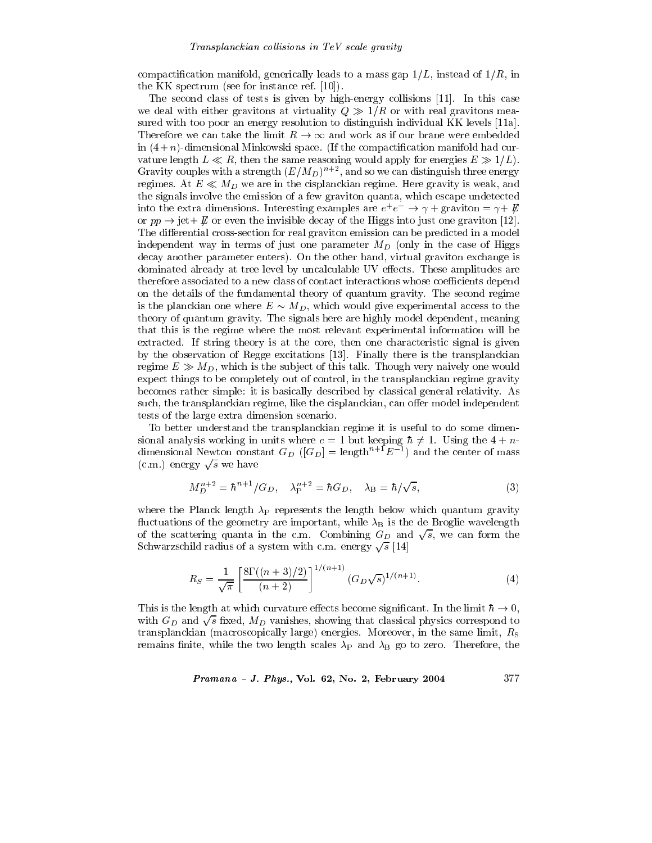compactification manifold, generically leads to a mass gap  $1/L$ , instead of  $1/R$ , in the KK spectrum (see for instance ref.  $[10]$ ).

The second class of tests is given by high-energy collisions [11]. In this case we deal with either gravitons at virtuality  $Q \gg 1/R$  or with real gravitons measured with too poor an energy resolution to distinguish individual KK levels [11a]. Therefore we can take the limit  $R \to \infty$  and work as if our brane were embedded in  $(4+n)$ -dimensional Minkowski space. (If the compactification manifold had curvalue length  $L \ll R$ , then the same reasoning would apply for energies  $E \gg 1/L$ . Gravity couples with a strength  $(E/M_D)^{n+2}$ , and so we can distinguish three energy regimes. At  $E \ll M_D$  we are in the cisplanckian regime. Here gravity is weak, and the signals involve the emission of a few graviton quanta, which escape undetected into the extra dimensions. Interesting examples are  $e^+e^- \rightarrow \gamma + \text{graviton} = \gamma + \cancel{E}$ or  $pp \rightarrow jet + E$  or even the invisible decay of the Higgs into just one graviton [12]. The differential cross-section for real graviton emission can be predicted in a model independent way in terms of just one parameter  $M_D$  (only in the case of Higgs decay another parameter enters). On the other hand, virtual graviton exchange is dominated already at tree level by uncalculable UV effects. These amplitudes are therefore associated to a new class of contact interactions whose coefficients depend on the details of the fundamental theory of quantum gravity. The second regime is the planckian one where  $E \sim M_D$ , which would give experimental access to the theory of quantum gravity. The signals here are highly model dependent, meaning that this is the regime where the most relevant experimental information will be extracted. If string theory is at the core, then one characteristic signal is given by the observation of Regge excitations [13]. Finally there is the transplanckian regime  $E \gg M_D$ , which is the subject of this talk. Though very naively one would expect things to be completely out of control, in the transplanckian regime gravity becomes rather simple: it is basically described by classical general relativity. As such, the transplanckian regime, like the cisplanckian, can offer model independent tests of the large extra dimension scenario.

To better understand the transplanckian regime it is useful to do some dimensional analysis working in units where  $c = 1$  but keeping  $\hbar \neq 1$ . Using the  $4 + n$ dimensional Newton constant  $G_D$  ( $[G_D]$  = length<sup>n+1</sup>E<sup>-1</sup>) and the center of mass (c.m.) energy  $\sqrt{s}$  we have

$$
M_D^{n+2} = \hbar^{n+1} / G_D, \quad \lambda_P^{n+2} = \hbar G_D, \quad \lambda_B = \hbar / \sqrt{s}, \tag{3}
$$

where the Planck length  $\lambda_P$  represents the length below which quantum gravity fluctuations of the geometry are important, while  $\lambda_B$  is the de Broglie wavelength of the scattering quanta in the c.m. Combining  $G_D$  and  $\sqrt{s}$ , we can form the Schwarzschild radius of a system with c.m. energy  $\sqrt{s}$  [14]

$$
R_S = \frac{1}{\sqrt{\pi}} \left[ \frac{8\Gamma((n+3)/2)}{(n+2)} \right]^{1/(n+1)} (G_D \sqrt{s})^{1/(n+1)}.
$$
 (4)

This is the length at which curvature effects become significant. In the limit  $\hbar \to 0$ , with  $G_D$  and  $\sqrt{s}$  fixed,  $M_D$  vanishes, showing that classical physics correspond to transplanckian (macroscopically large) energies. Moreover, in the same limit,  $R<sub>S</sub>$ remains finite, while the two length scales  $\lambda_P$  and  $\lambda_B$  go to zero. Therefore, the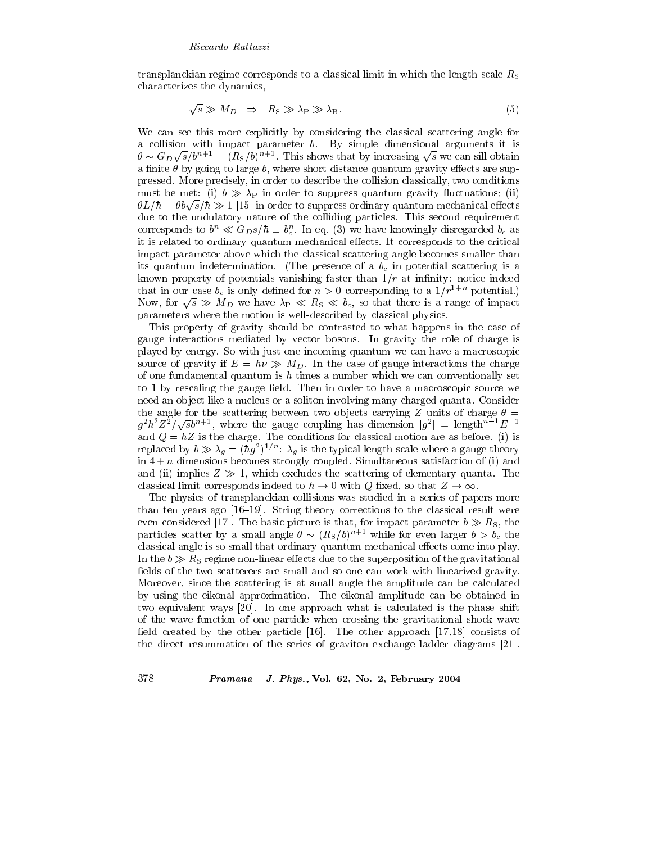transplanckian regime corresponds to a classical limit in which the length scale  $R_{\rm S}$ characterizes the dynamics,

$$
\sqrt{s} \gg M_D \Rightarrow R_S \gg \lambda_P \gg \lambda_B. \tag{5}
$$

We can see this more explicitly by considering the classical scattering angle for a collision with impact parameter b. By simple dimensional arguments it is  $\theta \sim G_D \sqrt{s}/b^{n+1} = (R_S/b)^{n+1}$ . This shows that by increasing  $\sqrt{s}$  we can sill obtain a finite  $\theta$  by going to large b, where short distance quantum gravity effects are suppressed. More precisely, in order to describe the collision classically, two conditions must be met: (i)  $b \gg \lambda_P$  in order to suppress quantum gravity fluctuations; (ii)  $\theta L/\hbar = \theta b \sqrt{s}/\hbar \gg 1$  [15] in order to suppress ordinary quantum mechanical effects due to the undulatory nature of the colliding particles. This second requirement corresponds to  $b^n \ll G_{DS}/\hbar \equiv b_c^n$ . In eq. (3) we have knowingly disregarded  $b_c$  as it is related to ordinary quantum mechanical effects. It corresponds to the critical impact parameter above which the classical scattering angle becomes smaller than its quantum indetermination. (The presence of a  $b_c$  in potential scattering is a known property of potentials vanishing faster than  $1/r$  at infinity: notice indeed that in our case  $b_c$  is only defined for  $n > 0$  corresponding to a  $1/r^{1+n}$  potential.) Now, for  $\sqrt{s} \gg M_D$  we have  $\lambda_P \ll R_S \ll b_c$ , so that there is a range of impact parameters where the motion is well-described by classical physics.

This property of gravity should be contrasted to what happens in the case of gauge interactions mediated by vector bosons. In gravity the role of charge is played by energy. So with just one incoming quantum we can have a macroscopic source of gravity if  $E = \hbar \nu \gg M_D$ . In the case of gauge interactions the charge of one fundamental quantum is  $\hbar$  times a number which we can conventionally set to 1 by rescaling the gauge field. Then in order to have a macroscopic source we need an object like a nucleus or a soliton involving many charged quanta. Consider the angle for the scattering between two objects carrying Z units of charge  $\theta =$  $g^2\hbar^2Z^2/\sqrt{s}b^{n+1}$ , where the gauge coupling has dimension  $[g^2] = \text{length}^{n-1}E^{-1}$ and  $Q = \hbar Z$  is the charge. The conditions for classical motion are as before. (i) is replaced by  $b \gg \lambda_g = (\hbar g^2)^{1/n}$ :  $\lambda_g$  is the typical length scale where a gauge theory in  $4+n$  dimensions becomes strongly coupled. Simultaneous satisfaction of (i) and and (ii) implies  $Z \gg 1$ , which excludes the scattering of elementary quanta. The classical limit corresponds indeed to  $\hbar \to 0$  with Q fixed, so that  $Z \to \infty$ .

The physics of transplanckian collisions was studied in a series of papers more than ten years ago [16–19]. String theory corrections to the classical result were even considered [17]. The basic picture is that, for impact parameter  $b \gg R_{\rm S}$ , the particles scatter by a small angle  $\theta \sim (R_S/b)^{n+1}$  while for even larger  $b > b_c$  the classical angle is so small that ordinary quantum mechanical effects come into play. In the  $b \gg R_s$  regime non-linear effects due to the superposition of the gravitational fields of the two scatterers are small and so one can work with linearized gravity. Moreover, since the scattering is at small angle the amplitude can be calculated by using the eikonal approximation. The eikonal amplitude can be obtained in two equivalent ways [20]. In one approach what is calculated is the phase shift of the wave function of one particle when crossing the gravitational shock wave field created by the other particle [16]. The other approach [17,18] consists of the direct resummation of the series of graviton exchange ladder diagrams [21].

# Pramana - J. Phys., Vol. 62, No. 2, February 2004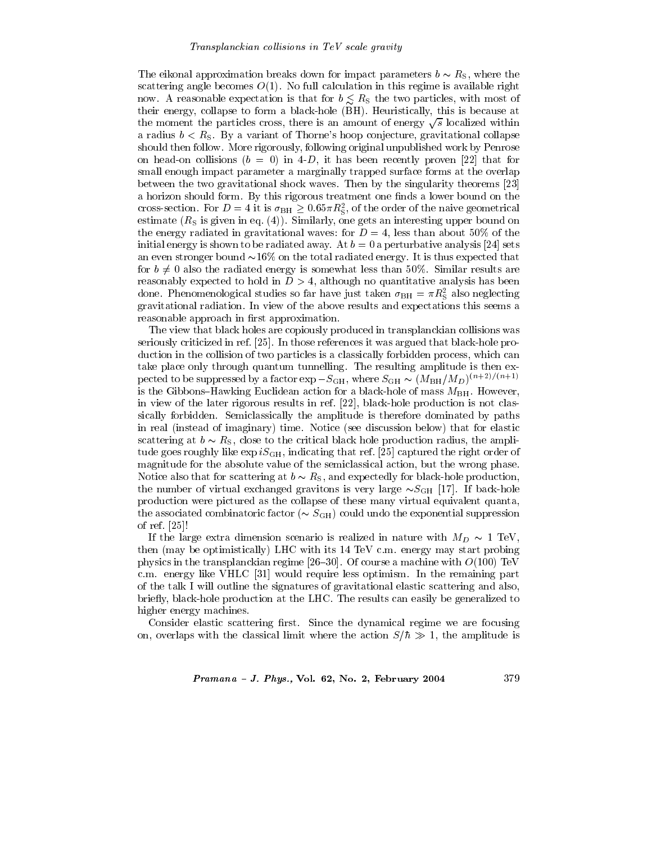The eikonal approximation breaks down for impact parameters  $b \sim R_{\rm S}$ , where the scattering angle becomes  $O(1)$ . No full calculation in this regime is available right now. A reasonable expectation is that for  $b \leq R_s$  the two particles, with most of their energy, collapse to form a black-hole (BH). Heuristically, this is because at the moment the particles cross, there is an amount of energy  $\sqrt{s}$  localized within a radius  $b < R<sub>S</sub>$ . By a variant of Thorne's hoop conjecture, gravitational collapse should then follow. More rigorously, following original unpublished work by Penrose on head-on collisions  $(b = 0)$  in 4-D, it has been recently proven [22] that for small enough impact parameter a marginally trapped surface forms at the overlap between the two gravitational shock waves. Then by the singularity theorems [23] a horizon should form. By this rigorous treatment one finds a lower bound on the cross-section. For  $D = 4$  it is  $\sigma_{\rm BH} \geq 0.65 \pi R_{\rm S}^2$ , of the order of the naive geometrical estimate  $(R<sub>S</sub>$  is given in eq. (4)). Similarly, one gets an interesting upper bound on the energy radiated in gravitational waves: for  $D=4$ , less than about 50% of the initial energy is shown to be radiated away. At  $b=0$  a perturbative analysis [24] sets an even stronger bound  $\sim 16\%$  on the total radiated energy. It is thus expected that for  $b \neq 0$  also the radiated energy is somewhat less than 50%. Similar results are reasonably expected to hold in  $D > 4$ , although no quantitative analysis has been done. Phenomenological studies so far have just taken  $\sigma_{BH} = \pi R_S^2$  also neglecting gravitational radiation. In view of the above results and expectations this seems a reasonable approach in first approximation.

The view that black holes are copiously produced in transplanckian collisions was seriously criticized in ref. [25]. In those references it was argued that black-hole production in the collision of two particles is a classically forbidden process, which can take place only through quantum tunnelling. The resulting amplitude is then expected to be suppressed by a factor  $\exp - S_{\text{GH}}$  , where  $S_{\text{GH}} \sim (M_{\text{BH}}/M_{D})^{(n+2)/(n+1)}$ is the Gibbons-Hawking Euclidean action for a black-hole of mass  $M_{BH}$ . However, in view of the later rigorous results in ref. [22], black-hole production is not classically forbidden. Semiclassically the amplitude is therefore dominated by paths in real (instead of imaginary) time. Notice (see discussion below) that for elastic scattering at  $b \sim R_{S}$ , close to the critical black hole production radius, the amplitude goes roughly like  $\exp iS_{\text{GH}}$ , indicating that ref. [25] captured the right order of magnitude for the absolute value of the semiclassical action, but the wrong phase. Notice also that for scattering at  $b \sim R_{\rm S}$ , and expectedly for black-hole production, the number of virtual exchanged gravitons is very large  $\sim S_{GH}$  [17]. If back-hole production were pictured as the collapse of these many virtual equivalent quanta, the associated combinatoric factor ( $\sim S_{\text{GH}}$ ) could undo the exponential suppression of ref.  $[25]$ !

If the large extra dimension scenario is realized in nature with  $M_D \sim 1$  TeV, then (may be optimistically) LHC with its 14 TeV c.m. energy may start probing physics in the transplanckian regime [26–30]. Of course a machine with  $O(100)$  TeV c.m. energy like VHLC [31] would require less optimism. In the remaining part of the talk I will outline the signatures of gravitational elastic scattering and also, briefly, black-hole production at the LHC. The results can easily be generalized to higher energy machines.

Consider elastic scattering first. Since the dynamical regime we are focusing on, overlaps with the classical limit where the action  $S/\hbar \gg 1$ , the amplitude is

Pramana - J. Phys., Vol. 62, No. 2, February 2004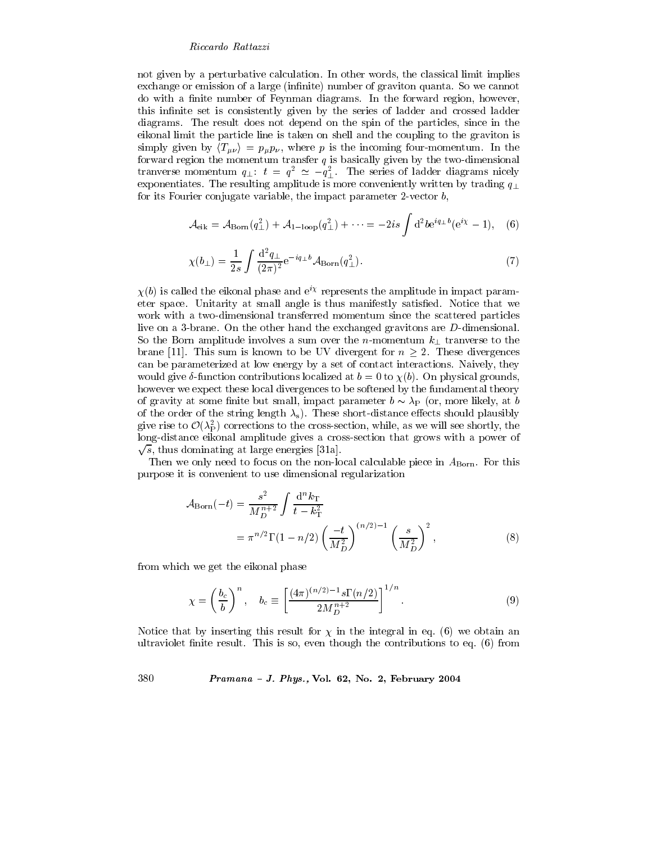not given by a perturbative calculation. In other words, the classical limit implies exchange or emission of a large (infinite) number of graviton quanta. So we cannot do with a finite number of Feynman diagrams. In the forward region, however, this infinite set is consistently given by the series of ladder and crossed ladder diagrams. The result does not depend on the spin of the particles, since in the eikonal limit the particle line is taken on shell and the coupling to the graviton is simply given by  $\langle T_{\mu\nu} \rangle = p_{\mu} p_{\nu}$ , where p is the incoming four-momentum. In the forward region the momentum transfer  $q$  is basically given by the two-dimensional tranverse momentum  $q_{\perp}$ :  $t = q^2 \simeq -q_1^2$ . The series of ladder diagrams nicely exponentiates. The resulting amplitude is more conveniently written by trading  $q_{\perp}$ for its Fourier conjugate variable, the impact parameter 2-vector  $b$ ,

$$
\mathcal{A}_{\text{eik}} = \mathcal{A}_{\text{Born}}(q_\perp^2) + \mathcal{A}_{1-\text{loop}}(q_\perp^2) + \dots = -2is \int d^2b e^{iq_\perp b} (e^{i\chi} - 1), \quad (6)
$$

$$
\chi(b_{\perp}) = \frac{1}{2s} \int \frac{\mathrm{d}^2 q_{\perp}}{(2\pi)^2} e^{-iq_{\perp}b} \mathcal{A}_{\text{Born}}(q_{\perp}^2). \tag{7}
$$

 $\chi(b)$  is called the eikonal phase and  $e^{ix}$  represents the amplitude in impact parameter space. Unitarity at small angle is thus manifestly satisfied. Notice that we work with a two-dimensional transferred momentum since the scattered particles live on a 3-brane. On the other hand the exchanged gravitons are D-dimensional. So the Born amplitude involves a sum over the *n*-momentum  $k_{\perp}$  tranverse to the brane [11]. This sum is known to be UV divergent for  $n \geq 2$ . These divergences can be parameterized at low energy by a set of contact interactions. Naively, they would give  $\delta$ -function contributions localized at  $b = 0$  to  $\chi(b)$ . On physical grounds, however we expect these local divergences to be softened by the fundamental theory of gravity at some finite but small, impact parameter  $b \sim \lambda_P$  (or, more likely, at b of the order of the string length  $\lambda_s$ ). These short-distance effects should plausibly give rise to  $\mathcal{O}(\lambda_P^2)$  corrections to the cross-section, while, as we will see shortly, the long-distance eikonal amplitude gives a cross-section that grows with a power of  $\sqrt{s}$ , thus dominating at large energies [31a].

Then we only need to focus on the non-local calculable piece in  $A_{\text{Born}}$ . For this purpose it is convenient to use dimensional regularization

$$
\mathcal{A}_{\text{Born}}(-t) = \frac{s^2}{M_D^{n+2}} \int \frac{d^n k_{\text{T}}}{t - k_{\text{T}}^2} \n= \pi^{n/2} \Gamma(1 - n/2) \left(\frac{-t}{M_D^2}\right)^{(n/2) - 1} \left(\frac{s}{M_D^2}\right)^2,
$$
\n(8)

from which we get the eikonal phase

$$
\chi = \left(\frac{b_c}{b}\right)^n, \quad b_c \equiv \left[\frac{(4\pi)^{(n/2)-1} s \Gamma(n/2)}{2M_D^{n+2}}\right]^{1/n}.
$$
 (9)

Notice that by inserting this result for  $\chi$  in the integral in eq. (6) we obtain an ultraviolet finite result. This is so, even though the contributions to eq. (6) from

#### 380 Pramana - J. Phys., Vol. 62, No. 2, February 2004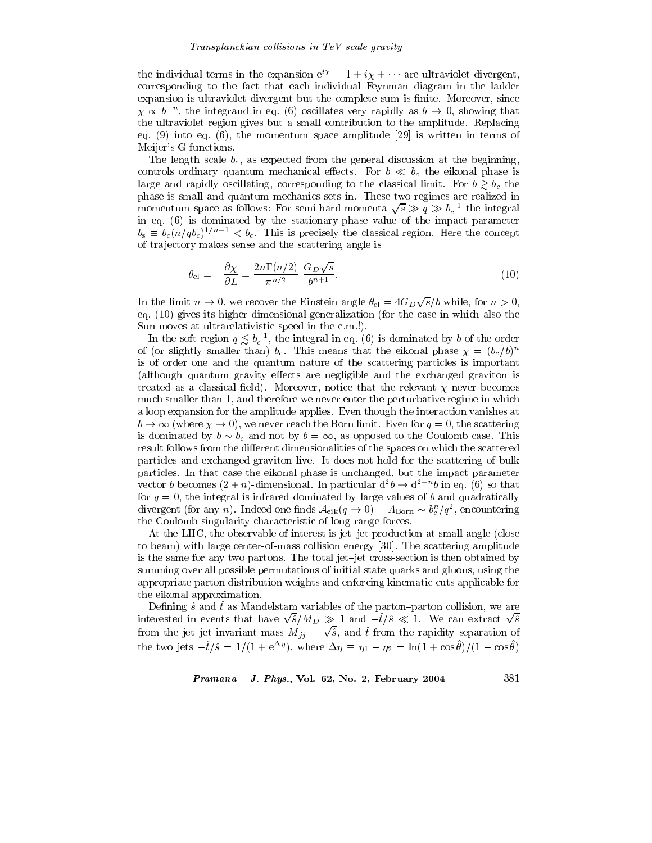the individual terms in the expansion  $e^{i\chi} = 1 + i\chi + \cdots$  are ultraviolet divergent, corresponding to the fact that each individual Feynman diagram in the ladder expansion is ultraviolet divergent but the complete sum is finite. Moreover, since  $\chi \propto b^{-n}$ , the integrand in eq. (6) oscillates very rapidly as  $b \to 0$ , showing that the ultraviolet region gives but a small contribution to the amplitude. Replacing eq. (9) into eq. (6), the momentum space amplitude [29] is written in terms of Meijer's G-functions.

The length scale  $b_c$ , as expected from the general discussion at the beginning, controls ordinary quantum mechanical effects. For  $b \ll b_c$  the eikonal phase is large and rapidly oscillating, corresponding to the classical limit. For  $b \gtrsim b_c$  the phase is small and quantum mechanics sets in. These two regimes are realized in momentum space as follows: For semi-hard momenta  $\sqrt{s} \gg q \gg b_c^{-1}$  the integral in eq. (6) is dominated by the stationary-phase value of the impact parameter  $b_s \equiv b_c(n/qb_c)^{1/n+1} < b_c$ . This is precisely the classical region. Here the concept of trajectory makes sense and the scattering angle is

$$
\theta_{\rm cl} = -\frac{\partial \chi}{\partial L} = \frac{2n\Gamma(n/2)}{\pi^{n/2}} \frac{G_D \sqrt{s}}{b^{n+1}}.
$$
\n(10)

In the limit  $n \to 0$ , we recover the Einstein angle  $\theta_{\rm cl} = 4G_D\sqrt{s}/b$  while, for  $n > 0$ , eq.  $(10)$  gives its higher-dimensional generalization (for the case in which also the Sun moves at ultrarelativistic speed in the c.m.!).

In the soft region  $q \lesssim b_c^{-1}$ , the integral in eq. (6) is dominated by b of the order<br>of (or slightly smaller than)  $b_c$ . This means that the eikonal phase  $\chi = (b_c/b)^n$ is of order one and the quantum nature of the scattering particles is important (although quantum gravity effects are negligible and the exchanged graviton is treated as a classical field). Moreover, notice that the relevant  $\chi$  never becomes much smaller than 1, and therefore we never enter the perturbative regime in which a loop expansion for the amplitude applies. Even though the interaction vanishes at  $b \to \infty$  (where  $\chi \to 0$ ), we never reach the Born limit. Even for  $q = 0$ , the scattering is dominated by  $b \sim b_c$  and not by  $b = \infty$ , as opposed to the Coulomb case. This result follows from the different dimensionalities of the spaces on which the scattered particles and exchanged graviton live. It does not hold for the scattering of bulk particles. In that case the eikonal phase is unchanged, but the impact parameter vector *b* becomes  $(2+n)$ -dimensional. In particular  $d^2b \rightarrow d^{2+n}b$  in eq. (6) so that for  $q = 0$ , the integral is infrared dominated by large values of b and quadratically divergent (for any *n*). Indeed one finds  $A_{eik}(q \to 0) = A_{Born} \sim b_c^n/q^2$ , encountering the Coulomb singularity characteristic of long-range forces.

At the LHC, the observable of interest is jet-jet production at small angle (close to beam) with large center-of-mass collision energy [30]. The scattering amplitude is the same for any two partons. The total jet-jet cross-section is then obtained by summing over all possible permutations of initial state quarks and gluons, using the appropriate parton distribution weights and enforcing kinematic cuts applicable for the eikonal approximation.

Defining  $\hat{s}$  and  $\hat{t}$  as Mandelstam variables of the parton-parton collision, we are interested in events that have  $\sqrt{\hat{s}}/M_D \gg 1$  and  $-\hat{t}/\hat{s} \ll 1$ . We can extract  $\sqrt{\hat{s}}$ from the jet-jet invariant mass  $M_{jj} = \sqrt{\hat{s}}$ , and  $\hat{t}$  from the rapidity separation of<br>the two jets  $-\hat{t}/\hat{s} = 1/(1 + e^{\Delta \eta})$ , where  $\Delta \eta \equiv \eta_1 - \eta_2 = \ln(1 + \cos \theta)/(1 - \cos \theta)$ 

Pramana - J. Phys., Vol. 62, No. 2, February 2004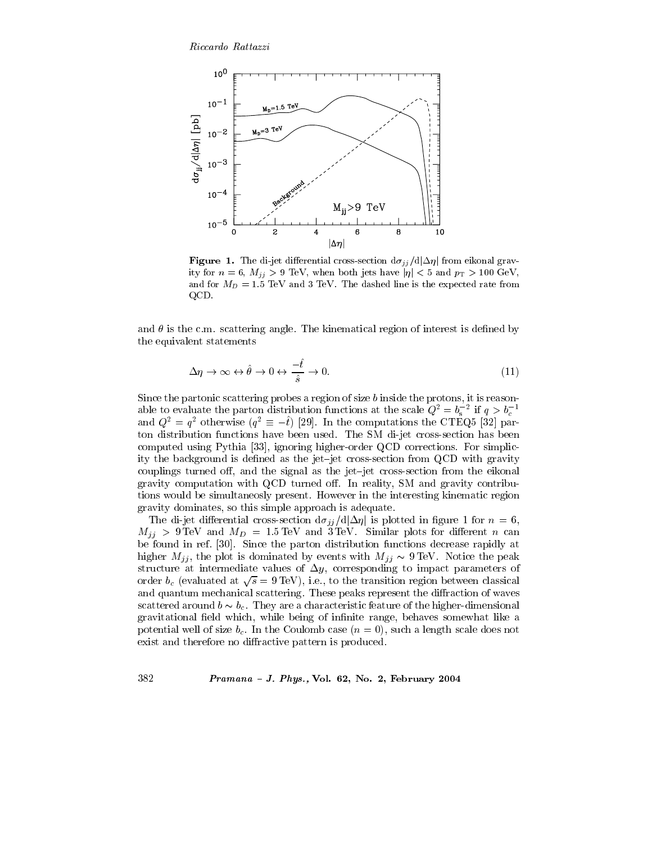

**Figure 1.** The di-jet differential cross-section  $d\sigma_{jj}/d|\Delta\eta|$  from eikonal gravity for  $n = 6$ ,  $M_{jj} > 9$  TeV, when both jets have  $|\eta| < 5$  and  $p_T > 100$  GeV, and for  $M_D = 1.5$  TeV and 3 TeV. The dashed line is the expected rate from QCD.

and  $\theta$  is the c.m. scattering angle. The kinematical region of interest is defined by the equivalent statements

$$
\Delta \eta \to \infty \leftrightarrow \hat{\theta} \to 0 \leftrightarrow \frac{-\hat{t}}{\hat{s}} \to 0. \tag{11}
$$

Since the partonic scattering probes a region of size b inside the protons, it is reasonable to evaluate the parton distribution functions at the scale  $Q^2 = b_s^{-2}$  if  $q > b_c^{-1}$ and  $Q^2 = q^2$  otherwise  $(q^2 \equiv -\hat{t})$  [29]. In the computations the CTEQ5 [32] parton distribution functions have been used. The SM di-jet cross-section has been computed using Pythia [33], ignoring higher-order QCD corrections. For simplicity the background is defined as the jet-jet cross-section from QCD with gravity couplings turned off, and the signal as the jet-jet cross-section from the eikonal gravity computation with QCD turned off. In reality, SM and gravity contributions would be simultaneosly present. However in the interesting kinematic region gravity dominates, so this simple approach is adequate.

The di-jet differential cross-section  $d\sigma_{jj}/d|\Delta\eta|$  is plotted in figure 1 for  $n=6$ ,  $M_{jj} > 9 \,\text{TeV}$  and  $M_D = 1.5 \,\text{TeV}$  and  $3 \,\text{TeV}$ . Similar plots for different *n* can be found in ref. [30]. Since the parton distribution functions decrease rapidly at higher  $M_{ij}$ , the plot is dominated by events with  $M_{ij} \sim 9 \,\text{TeV}$ . Notice the peak structure at intermediate values of  $\Delta y$ , corresponding to impact parameters of order  $b_c$  (evaluated at  $\sqrt{s} = 9$  TeV), i.e., to the transition region between classical and quantum mechanical scattering. These peaks represent the diffraction of waves scattered around  $b \sim b_c$ . They are a characteristic feature of the higher-dimensional gravitational field which, while being of infinite range, behaves somewhat like a potential well of size  $b_c$ . In the Coulomb case  $(n = 0)$ , such a length scale does not exist and therefore no diffractive pattern is produced.

Pramana - J. Phys., Vol. 62, No. 2, February 2004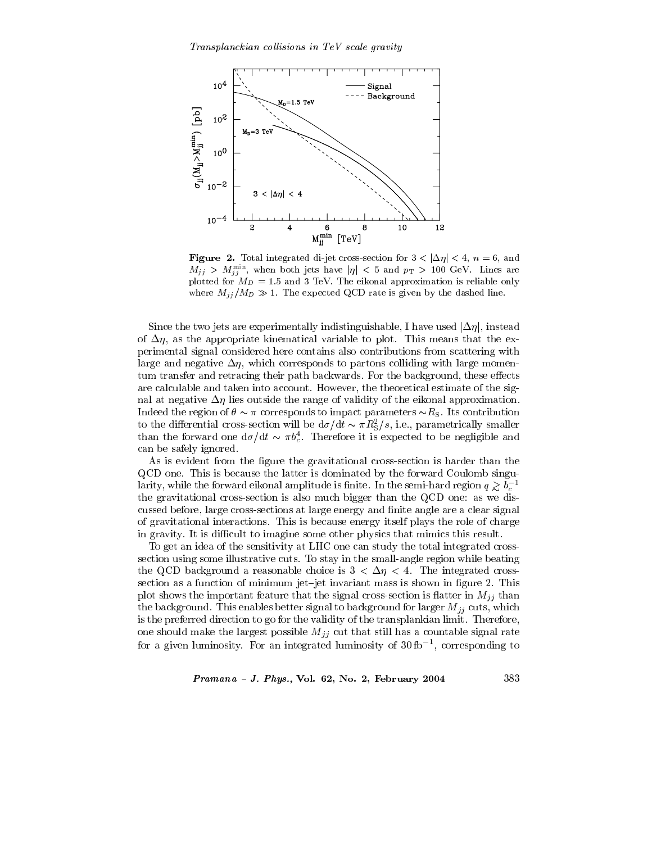

**Figure 2.** Total integrated di-jet cross-section for  $3 < |\Delta \eta| < 4$ ,  $n = 6$ , and  $M_{jj} > M_{jj}^{\min}$ , when both jets have  $|\eta| < 5$  and  $p_T > 100$  GeV. Lines are plotted for  $M_D = 1.5$  and 3 TeV. The eikonal approximation is reliable only where  $M_{jj}/M_D \gg 1$ . The expected QCD rate is given by the dashed line.

Since the two jets are experimentally indistinguishable, I have used  $|\Delta \eta|$ , instead of  $\Delta \eta$ , as the appropriate kinematical variable to plot. This means that the experimental signal considered here contains also contributions from scattering with large and negative  $\Delta \eta$ , which corresponds to partons colliding with large momentum transfer and retracing their path backwards. For the background, these effects are calculable and taken into account. However, the theoretical estimate of the signal at negative  $\Delta \eta$  lies outside the range of validity of the eikonal approximation. Indeed the region of  $\theta \sim \pi$  corresponds to impact parameters  $\sim R_{\rm S}$ . Its contribution to the differential cross-section will be  $d\sigma/dt \sim \pi R_S^2/s$ , i.e., parametrically smaller than the forward one  $d\sigma/dt \sim \pi b_c^4$ . Therefore it is expected to be negligible and can be safely ignored.

As is evident from the figure the gravitational cross-section is harder than the QCD one. This is because the latter is dominated by the forward Coulomb singularity, while the forward eikonal amplitude is finite. In the semi-hard region  $q \gtrsim b_c^{-1}$ the gravitational cross-section is also much bigger than the QCD one: as we discussed before, large cross-sections at large energy and finite angle are a clear signal of gravitational interactions. This is because energy itself plays the role of charge in gravity. It is difficult to imagine some other physics that mimics this result.

To get an idea of the sensitivity at LHC one can study the total integrated crosssection using some illustrative cuts. To stay in the small-angle region while beating the QCD background a reasonable choice is  $3 < \Delta \eta < 4$ . The integrated crosssection as a function of minimum jet-jet invariant mass is shown in figure 2. This plot shows the important feature that the signal cross-section is flatter in  $M_{jj}$  than the background. This enables better signal to background for larger  $M_{jj}$  cuts, which is the preferred direction to go for the validity of the transplankian limit. Therefore, one should make the largest possible  $M_{jj}$  cut that still has a countable signal rate for a given luminosity. For an integrated luminosity of  $30\text{fb}^{-1}$ , corresponding to

Pramana - J. Phys., Vol. 62, No. 2, February 2004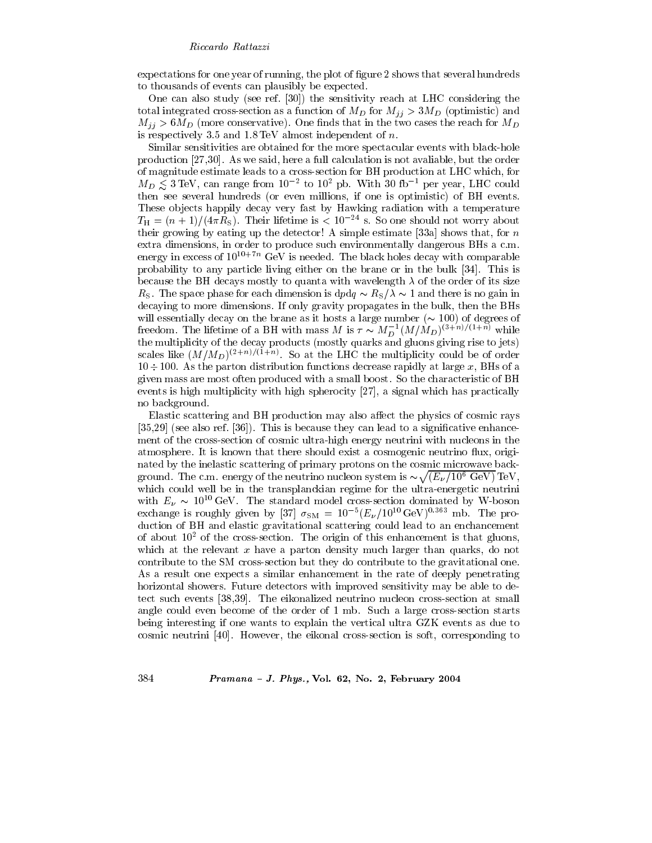expectations for one year of running, the plot of figure 2 shows that several hundreds to thousands of events can plausibly be expected.

One can also study (see ref. [30]) the sensitivity reach at LHC considering the total integrated cross-section as a function of  $M_D$  for  $M_{jj} > 3M_D$  (optimistic) and  $M_{ij} > 6 M_D$  (more conservative). One finds that in the two cases the reach for  $M_D$ is respectively 3.5 and  $1.8 \text{ TeV}$  almost independent of n.

Similar sensitivities are obtained for the more spectacular events with black-hole production  $[27,30]$ . As we said, here a full calculation is not available, but the order of magnitude estimate leads to a cross-section for BH production at LHC which, for  $M_D \lesssim 3 \,\text{TeV}$ , can range from  $10^{-2}$  to  $10^2$  pb. With 30 fb<sup>-1</sup> per year, LHC could then see several hundreds (or even millions, if one is optimistic) of BH events. These objects happily decay very fast by Hawking radiation with a temperature  $T_{\rm H} = (n+1)/(4\pi R_{\rm S})$ . Their lifetime is < 10<sup>-24</sup> s. So one should not worry about their growing by eating up the detector! A simple estimate [33a] shows that, for n extra dimensions, in order to produce such environmentally dangerous BHs a c.m. energy in excess of  $10^{10+7n}$  GeV is needed. The black holes decay with comparable probability to any particle living either on the brane or in the bulk [34]. This is because the BH decays mostly to quanta with wavelength  $\lambda$  of the order of its size  $R_{\rm S}$ . The space phase for each dimension is  $dpdq \sim R_{\rm S}/\lambda \sim 1$  and there is no gain in decaying to more dimensions. If only gravity propagates in the bulk, then the BHs will essentially decay on the brane as it hosts a large number  $(\sim 100)$  of degrees of freedom. The lifetime of a BH with mass M is  $\tau \sim M_D^{-1} (M/M_D)^{(3+n)/(1+n)}$  while the multiplicity of the decay products (mostly quarks and gluons giving rise to jets) scales like  $(M/M_D)^{(2+n)/(1+n)}$ . So at the LHC the multiplicity could be of order  $10 \div 100$ . As the parton distribution functions decrease rapidly at large x, BHs of a given mass are most often produced with a small boost. So the characteristic of BH events is high multiplicity with high spherocity [27], a signal which has practically no background.

Elastic scattering and BH production may also affect the physics of cosmic rays  $[35,29]$  (see also ref. [36]). This is because they can lead to a significative enhancement of the cross-section of cosmic ultra-high energy neutrini with nucleons in the atmosphere. It is known that there should exist a cosmogenic neutrino flux, originated by the inelastic scattering of primary protons on the cosmic microwave background. The c.m. energy of the neutrino nucleon system is  $\sim \sqrt{(E_\nu/10^6 \text{ GeV})} \text{TeV}$ , which could well be in the transplanckian regime for the ultra-energetic neutrini with  $E_{\nu} \sim 10^{10} \text{ GeV}$ . The standard model cross-section dominated by W-boson exchange is roughly given by [37]  $\sigma_{\text{SM}} = 10^{-5} (E_{\nu}/10^{10} \text{ GeV})^{0.363}$  mb. The production of BH and elastic gravitational scattering could lead to an enchancement of about  $10<sup>2</sup>$  of the cross-section. The origin of this enhancement is that gluons, which at the relevant  $x$  have a parton density much larger than quarks, do not contribute to the SM cross-section but they do contribute to the gravitational one. As a result one expects a similar enhancement in the rate of deeply penetrating horizontal showers. Future detectors with improved sensitivity may be able to detect such events [38,39]. The eikonalized neutrino nucleon cross-section at small angle could even become of the order of 1 mb. Such a large cross-section starts being interesting if one wants to explain the vertical ultra GZK events as due to cosmic neutrini [40]. However, the eikonal cross-section is soft, corresponding to

Pramana - J. Phys., Vol. 62, No. 2, February 2004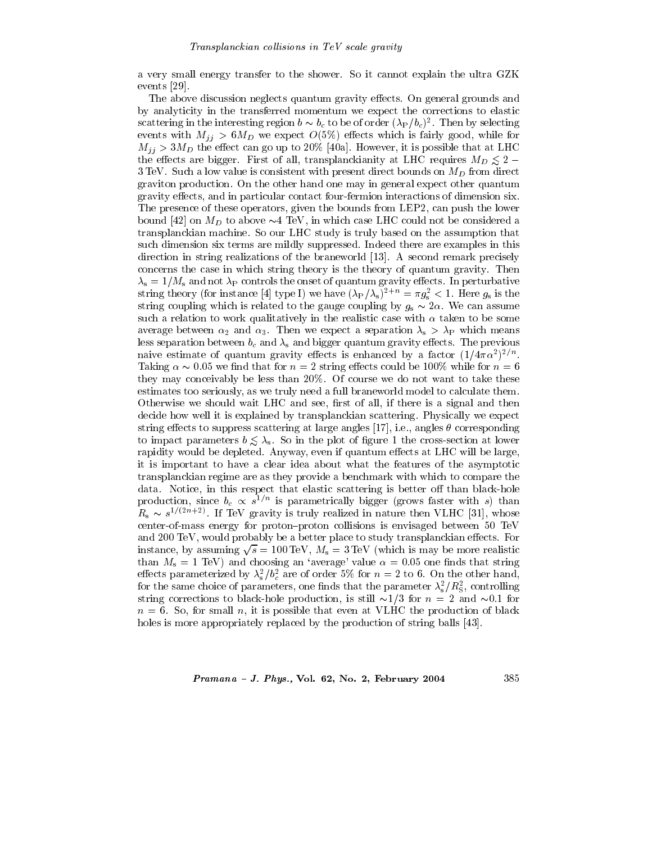a very small energy transfer to the shower. So it cannot explain the ultra GZK events  $[29]$ .

The above discussion neglects quantum gravity effects. On general grounds and by analyticity in the transferred momentum we expect the corrections to elastic scattering in the interesting region  $b \sim b_c$  to be of order  $(\lambda_P/b_c)^2$ . Then by selecting events with  $M_{jj} > 6M_D$  we expect  $O(5\%)$  effects which is fairly good, while for  $M_{ij} > 3M_D$  the effect can go up to 20% [40a]. However, it is possible that at LHC the effects are bigger. First of all, transplanckianity at LHC requires  $M_D \leq 2$  –  $3 \text{ TeV}$ . Such a low value is consistent with present direct bounds on  $M_D$  from direct graviton production. On the other hand one may in general expect other quantum gravity effects, and in particular contact four-fermion interactions of dimension six. The presence of these operators, given the bounds from LEP2, can push the lower bound [42] on  $M_D$  to above  $\sim$  4 TeV, in which case LHC could not be considered a transplanckian machine. So our LHC study is truly based on the assumption that such dimension six terms are mildly suppressed. Indeed there are examples in this direction in string realizations of the braneworld [13]. A second remark precisely concerns the case in which string theory is the theory of quantum gravity. Then  $\lambda_{\rm s}=1/M_{\rm s}$  and not  $\lambda_{\rm P}$  controls the onset of quantum gravity effects. In perturbative string theory (for instance [4] type I) we have  $(\lambda_P/\lambda_s)^{2+n} = \pi g_s^2 < 1$ . Here  $g_s$  is the string coupling which is related to the gauge coupling by  $g_s \sim 2\alpha$ . We can assume such a relation to work qualitatively in the realistic case with  $\alpha$  taken to be some average between  $\alpha_2$  and  $\alpha_3$ . Then we expect a separation  $\lambda_s > \lambda_P$  which means less separation between  $b_c$  and  $\lambda_s$  and bigger quantum gravity effects. The previous naive estimate of quantum gravity effects is enhanced by a factor  $(1/4\pi\alpha^2)^{2/n}$ . Taking  $\alpha \sim 0.05$  we find that for  $n = 2$  string effects could be 100% while for  $n = 6$ they may conceivably be less than 20%. Of course we do not want to take these estimates too seriously, as we truly need a full braneworld model to calculate them. Otherwise we should wait LHC and see, first of all, if there is a signal and then decide how well it is explained by transplanckian scattering. Physically we expect string effects to suppress scattering at large angles [17], i.e., angles  $\theta$  corresponding to impact parameters  $b \leq \lambda_s$ . So in the plot of figure 1 the cross-section at lower rapidity would be depleted. Anyway, even if quantum effects at LHC will be large, it is important to have a clear idea about what the features of the asymptotic transplanckian regime are as they provide a benchmark with which to compare the data. Notice, in this respect that elastic scattering is better off than black-hole production, since  $b_c \propto s^{1/n}$  is parametrically bigger (grows faster with s) than  $R_s \sim s^{1/(2n+2)}$ . If TeV gravity is truly realized in nature then VLHC [31], whose center-of-mass energy for proton-proton collisions is envisaged between 50 TeV and 200 TeV, would probably be a better place to study transplanckian effects. For instance, by assuming  $\sqrt{s} = 100 \,\text{TeV}$ ,  $M_s = 3 \,\text{TeV}$  (which is may be more realistic than  $M_s = 1$  TeV) and choosing an 'average' value  $\alpha = 0.05$  one finds that string effects parameterized by  $\lambda_s^2/b_c^2$  are of order 5% for  $n = 2$  to 6. On the other hand, for the same choice of parameters, one finds that the parameter  $\lambda_s^2/R_s^2$ , controlling string corrections to black-hole production, is still  $\sim$ 1/3 for  $n = 2$  and  $\sim$ 0.1 for  $n = 6$ . So, for small n, it is possible that even at VLHC the production of black holes is more appropriately replaced by the production of string balls [43].

Pramana - J. Phys., Vol. 62, No. 2, February 2004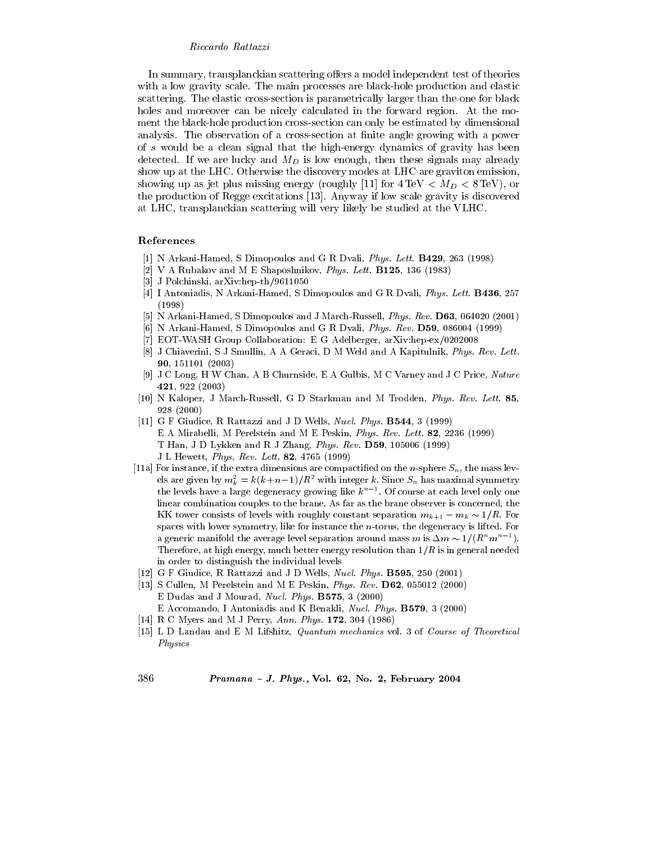In summary, transplanckian scattering offers a model independent test of theories with a low gravity scale. The main processes are black-hole production and elastic scattering. The elastic cross-section is parametrically larger than the one for black holes and moreover can be nicely calculated in the forward region. At the moment the black-hole production cross-section can only be estimated by dimensional analysis. The observation of a cross-section at finite angle growing with a power of s would be a clean signal that the high-energy dynamics of gravity has been detected. If we are lucky and  $M_D$  is low enough, then these signals may already show up at the LHC. Otherwise the discovery modes at LHC are graviton emission, showing up as jet plus missing energy (roughly [11] for  $4 \text{ TeV} < M_D < 8 \text{ TeV}$ ), or the production of Regge excitations [13]. Anyway if low scale gravity is discovered at LHC, transplanckian scattering will very likely be studied at the VLHC.

# References

- [1] N Arkani-Hamed, S Dimopoulos and G R Dvali, *Phys. Lett.* **B429**, 263 (1998)
- [2] V A Rubakov and M E Shaposhnikov, Phys. Lett. B125, 136 (1983)
- [3] J Polchinski, arXiv:hep-th/9611050
- [4] I Antoniadis, N Arkani-Hamed, S Dimopoulos and G R Dvali, Phys. Lett. B436, 257  $(1998)$
- [5] N Arkani-Hamed, S Dimopoulos and J March-Russell, Phys. Rev. D63, 064020 (2001)
- [6] N Arkani-Hamed, S Dimopoulos and G R Dvali, *Phys. Rev.* **D59**, 086004 (1999)
- [7] EOT-WASH Group Collaboration: E G Adelberger, arXiv:hep-ex/0202008
- [8] J Chiaverini, S J Smullin, A A Geraci, D M Weld and A Kapitulnik, Phys. Rev. Lett. 90, 151101 (2003)
- [9] J C Long, H W Chan, A B Churnside, E A Gulbis, M C Varney and J C Price, Nature 421, 922  $(2003)$
- [10] N Kaloper, J March-Russell, G D Starkman and M Trodden, Phys. Rev. Lett. 85,  $928(2000)$
- [11] G F Giudice, R Rattazzi and J D Wells, Nucl. Phys. B544, 3 (1999) E A Mirabelli, M Perelstein and M E Peskin, Phys. Rev. Lett. 82, 2236 (1999) T Han, J D Lykken and R J Zhang, Phys. Rev. D59, 105006 (1999) J L Hewett, Phys. Rev. Lett. 82, 4765 (1999)
- [11a] For instance, if the extra dimensions are compactified on the *n*-sphere  $S_n$ , the mass levels are given by  $m_k^2 = k(k+n-1)/R^2$  with integer k. Since  $S_n$  has maximal symmetry the levels have a large degeneracy growing like  $k^{n-1}$ . Of course at each level only one linear combination couples to the brane. As far as the brane observer is concerned, the KK tower consists of levels with roughly constant separation  $m_{k+1} - m_k \sim 1/R$ . For spaces with lower symmetry, like for instance the  $n$ -torus, the degeneracy is lifted. For a generic manifold the average level separation around mass m is  $\Delta m \sim 1/(R^n m^{n-1})$ . Therefore, at high energy, much better energy resolution than  $1/R$  is in general needed in order to distinguish the individual levels
- [12] G F Giudice, R Rattazzi and J D Wells, Nucl. Phys. B595, 250 (2001)
- [13] S Cullen, M Perelstein and M E Peskin, Phys. Rev. D62, 055012 (2000) E Dudas and J Mourad, Nucl. Phys. B575, 3 (2000) E Accomando, I Antoniadis and K Benakli, Nucl. Phys. B579, 3 (2000)
- [14] R C Myers and M J Perry, Ann. Phys. 172, 304 (1986)
- [15] L D Landau and E M Lifshitz, Quantum mechanics vol. 3 of Course of Theoretical Physics

386

Pramana - J. Phys., Vol. 62, No. 2, February 2004